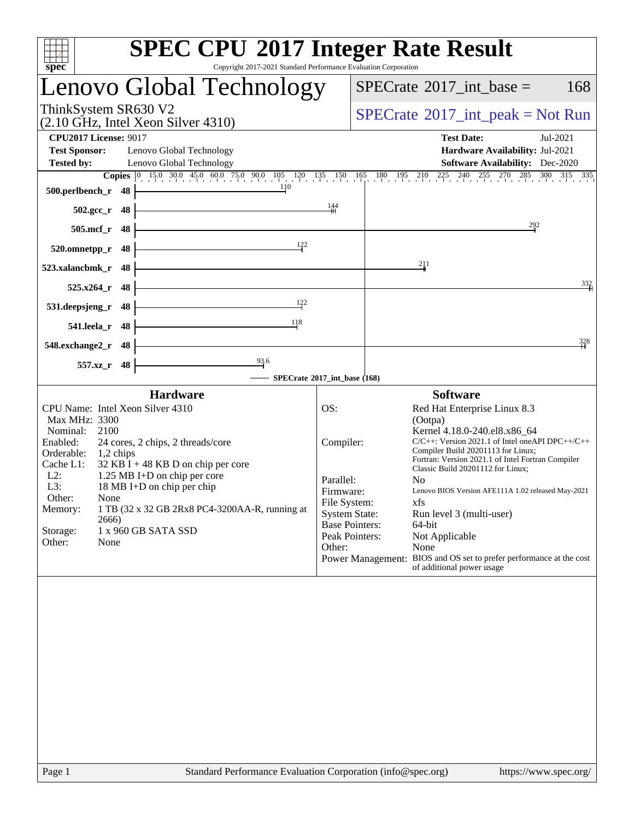| Copyright 2017-2021 Standard Performance Evaluation Corporation<br>$spec^*$  | <b>SPEC CPU®2017 Integer Rate Result</b>                                                                                                                                                                                            |
|------------------------------------------------------------------------------|-------------------------------------------------------------------------------------------------------------------------------------------------------------------------------------------------------------------------------------|
| Lenovo Global Technology                                                     | $SPECrate^{\circledast}2017\_int\_base =$<br>168                                                                                                                                                                                    |
| ThinkSystem SR630 V2<br>$(2.10 \text{ GHz}, \text{Intel Xeon Silver } 4310)$ | $SPECrate^{\circ}2017\_int\_peak = Not Run$                                                                                                                                                                                         |
| <b>CPU2017 License: 9017</b>                                                 | <b>Test Date:</b><br>Jul-2021                                                                                                                                                                                                       |
| <b>Test Sponsor:</b><br>Lenovo Global Technology                             | Hardware Availability: Jul-2021                                                                                                                                                                                                     |
| <b>Tested by:</b><br>Lenovo Global Technology                                | <b>Software Availability:</b> Dec-2020<br><b>Copies</b> $\begin{bmatrix} 0 & 15 & 0 & 30 & 45 & 0 & 60 & 75 & 0 & 90 & 105 & 120 & 135 & 150 & 165 & 180 & 195 & 210 & 225 & 240 & 255 & 270 & 285 & 300 & 315 & 335 \end{bmatrix}$ |
| 110<br>500.perlbench_r<br>48                                                 |                                                                                                                                                                                                                                     |
| 48<br>$502.\mathrm{gcc}$ <sub>r</sub>                                        | $\frac{144}{11}$                                                                                                                                                                                                                    |
| $505$ .mcf_r<br>48                                                           | 292                                                                                                                                                                                                                                 |
| 122<br>48<br>520.omnetpp_r                                                   |                                                                                                                                                                                                                                     |
| 523.xalancbmk_r<br>48                                                        | 211                                                                                                                                                                                                                                 |
| 525.x264 r<br>48                                                             | $\frac{332}{4}$                                                                                                                                                                                                                     |
| 122<br>48<br>531.deepsjeng_r                                                 |                                                                                                                                                                                                                                     |
| 118<br>541.leela_r<br>48                                                     |                                                                                                                                                                                                                                     |
| 548.exchange2_r<br>48                                                        | 328                                                                                                                                                                                                                                 |
| $\frac{93.6}{4}$<br>$557.xz$ _r<br>48                                        |                                                                                                                                                                                                                                     |
| <b>Hardware</b>                                                              | SPECrate®2017_int_base (168)<br><b>Software</b>                                                                                                                                                                                     |
| CPU Name: Intel Xeon Silver 4310                                             | OS:<br>Red Hat Enterprise Linux 8.3                                                                                                                                                                                                 |
| Max MHz: 3300                                                                | (Ootpa)                                                                                                                                                                                                                             |
| 2100<br>Nominal:<br>Enabled:<br>24 cores, 2 chips, 2 threads/core            | Kernel 4.18.0-240.el8.x86 64<br>$C/C++$ : Version 2021.1 of Intel one API DPC++/C++<br>Compiler:                                                                                                                                    |
| Orderable:<br>$1,2$ chips                                                    | Compiler Build 20201113 for Linux;                                                                                                                                                                                                  |
| Cache L1:<br>$32$ KB I + 48 KB D on chip per core                            | Fortran: Version 2021.1 of Intel Fortran Compiler<br>Classic Build 20201112 for Linux;                                                                                                                                              |
| $L2$ :<br>1.25 MB I+D on chip per core                                       | Parallel:<br>N <sub>0</sub>                                                                                                                                                                                                         |
| L3:<br>18 MB I+D on chip per chip                                            | Firmware:<br>Lenovo BIOS Version AFE111A 1.02 released May-2021                                                                                                                                                                     |
| Other:<br>None<br>Memory:<br>1 TB (32 x 32 GB 2Rx8 PC4-3200AA-R, running at  | File System:<br>xfs                                                                                                                                                                                                                 |
| 2666)                                                                        | <b>System State:</b><br>Run level 3 (multi-user)                                                                                                                                                                                    |
| 1 x 960 GB SATA SSD<br>Storage:                                              | <b>Base Pointers:</b><br>64-bit<br>Peak Pointers:<br>Not Applicable                                                                                                                                                                 |
| Other:<br>None                                                               | None<br>Other:                                                                                                                                                                                                                      |
|                                                                              | Power Management: BIOS and OS set to prefer performance at the cost<br>of additional power usage                                                                                                                                    |
|                                                                              |                                                                                                                                                                                                                                     |
|                                                                              |                                                                                                                                                                                                                                     |
|                                                                              |                                                                                                                                                                                                                                     |
|                                                                              |                                                                                                                                                                                                                                     |
|                                                                              |                                                                                                                                                                                                                                     |
|                                                                              |                                                                                                                                                                                                                                     |
|                                                                              |                                                                                                                                                                                                                                     |
|                                                                              |                                                                                                                                                                                                                                     |
|                                                                              |                                                                                                                                                                                                                                     |
|                                                                              |                                                                                                                                                                                                                                     |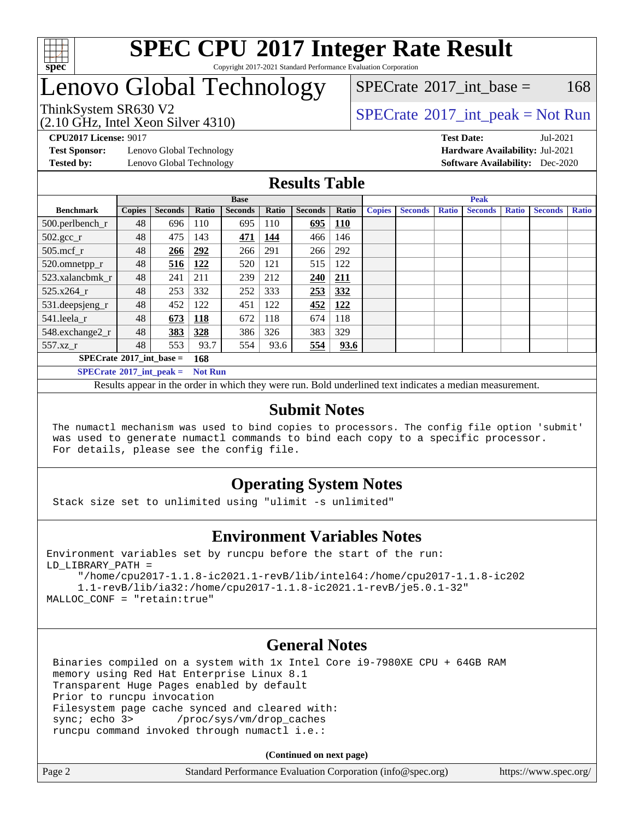

#### **[SPEC CPU](http://www.spec.org/auto/cpu2017/Docs/result-fields.html#SPECCPU2017IntegerRateResult)[2017 Integer Rate Result](http://www.spec.org/auto/cpu2017/Docs/result-fields.html#SPECCPU2017IntegerRateResult)** Copyright 2017-2021 Standard Performance Evaluation Corporation

### Lenovo Global Technology

 $SPECTate$ <sup>®</sup>[2017\\_int\\_base =](http://www.spec.org/auto/cpu2017/Docs/result-fields.html#SPECrate2017intbase) 168

(2.10 GHz, Intel Xeon Silver 4310)

ThinkSystem SR630 V2<br>  $\begin{array}{c} \text{SPECTate} \textcircled{2017\_int\_peak} = \text{Not Run} \end{array}$ 

**[Test Sponsor:](http://www.spec.org/auto/cpu2017/Docs/result-fields.html#TestSponsor)** Lenovo Global Technology **[Hardware Availability:](http://www.spec.org/auto/cpu2017/Docs/result-fields.html#HardwareAvailability)** Jul-2021 **[Tested by:](http://www.spec.org/auto/cpu2017/Docs/result-fields.html#Testedby)** Lenovo Global Technology **[Software Availability:](http://www.spec.org/auto/cpu2017/Docs/result-fields.html#SoftwareAvailability)** Dec-2020

**[CPU2017 License:](http://www.spec.org/auto/cpu2017/Docs/result-fields.html#CPU2017License)** 9017 **[Test Date:](http://www.spec.org/auto/cpu2017/Docs/result-fields.html#TestDate)** Jul-2021

### **[Results Table](http://www.spec.org/auto/cpu2017/Docs/result-fields.html#ResultsTable)**

|                                     | <b>Base</b>   |                |            |                | <b>Peak</b> |                |            |               |                |              |                |              |                |              |
|-------------------------------------|---------------|----------------|------------|----------------|-------------|----------------|------------|---------------|----------------|--------------|----------------|--------------|----------------|--------------|
| <b>Benchmark</b>                    | <b>Copies</b> | <b>Seconds</b> | Ratio      | <b>Seconds</b> | Ratio       | <b>Seconds</b> | Ratio      | <b>Copies</b> | <b>Seconds</b> | <b>Ratio</b> | <b>Seconds</b> | <b>Ratio</b> | <b>Seconds</b> | <b>Ratio</b> |
| $500.$ perlbench_r                  | 48            | 696            | 110        | 695            | 110         | 695            | <u>110</u> |               |                |              |                |              |                |              |
| $502.\text{sec}\text{r}$            | 48            | 475            | 143        | 471            | 144         | 466            | 146        |               |                |              |                |              |                |              |
| $505$ .mcf r                        | 48            | 266            | 292        | 266            | 291         | 266            | 292        |               |                |              |                |              |                |              |
| 520.omnetpp_r                       | 48            | 516            | 122        | 520            | 121         | 515            | 122        |               |                |              |                |              |                |              |
| 523.xalancbmk r                     | 48            | 241            | 211        | 239            | 212         | 240            | 211        |               |                |              |                |              |                |              |
| $525.x264$ r                        | 48            | 253            | 332        | 252            | 333         | 253            | 332        |               |                |              |                |              |                |              |
| 531.deepsjeng_r                     | 48            | 452            | 122        | 451            | 122         | 452            | <u>122</u> |               |                |              |                |              |                |              |
| 541.leela r                         | 48            | 673            | <b>118</b> | 672            | 118         | 674            | 118        |               |                |              |                |              |                |              |
| 548.exchange2_r                     | 48            | 383            | 328        | 386            | 326         | 383            | 329        |               |                |              |                |              |                |              |
| 557.xz r                            | 48            | 553            | 93.7       | 554            | 93.6        | 554            | 93.6       |               |                |              |                |              |                |              |
| $SPECrate^{\circ}2017$ int base =   |               |                | 168        |                |             |                |            |               |                |              |                |              |                |              |
| $SPECrate^{\circ}2017\_int\_peak =$ |               | <b>Not Run</b> |            |                |             |                |            |               |                |              |                |              |                |              |

Results appear in the [order in which they were run.](http://www.spec.org/auto/cpu2017/Docs/result-fields.html#RunOrder) Bold underlined text [indicates a median measurement.](http://www.spec.org/auto/cpu2017/Docs/result-fields.html#Median)

#### **[Submit Notes](http://www.spec.org/auto/cpu2017/Docs/result-fields.html#SubmitNotes)**

 The numactl mechanism was used to bind copies to processors. The config file option 'submit' was used to generate numactl commands to bind each copy to a specific processor. For details, please see the config file.

### **[Operating System Notes](http://www.spec.org/auto/cpu2017/Docs/result-fields.html#OperatingSystemNotes)**

Stack size set to unlimited using "ulimit -s unlimited"

### **[Environment Variables Notes](http://www.spec.org/auto/cpu2017/Docs/result-fields.html#EnvironmentVariablesNotes)**

```
Environment variables set by runcpu before the start of the run:
LD_LIBRARY_PATH =
      "/home/cpu2017-1.1.8-ic2021.1-revB/lib/intel64:/home/cpu2017-1.1.8-ic202
      1.1-revB/lib/ia32:/home/cpu2017-1.1.8-ic2021.1-revB/je5.0.1-32"
MALLOC_CONF = "retain:true"
```
### **[General Notes](http://www.spec.org/auto/cpu2017/Docs/result-fields.html#GeneralNotes)**

 Binaries compiled on a system with 1x Intel Core i9-7980XE CPU + 64GB RAM memory using Red Hat Enterprise Linux 8.1 Transparent Huge Pages enabled by default Prior to runcpu invocation Filesystem page cache synced and cleared with: sync; echo 3> /proc/sys/vm/drop\_caches runcpu command invoked through numactl i.e.:

**(Continued on next page)**

| Page 2 | Standard Performance Evaluation Corporation (info@spec.org) | https://www.spec.org/ |
|--------|-------------------------------------------------------------|-----------------------|
|--------|-------------------------------------------------------------|-----------------------|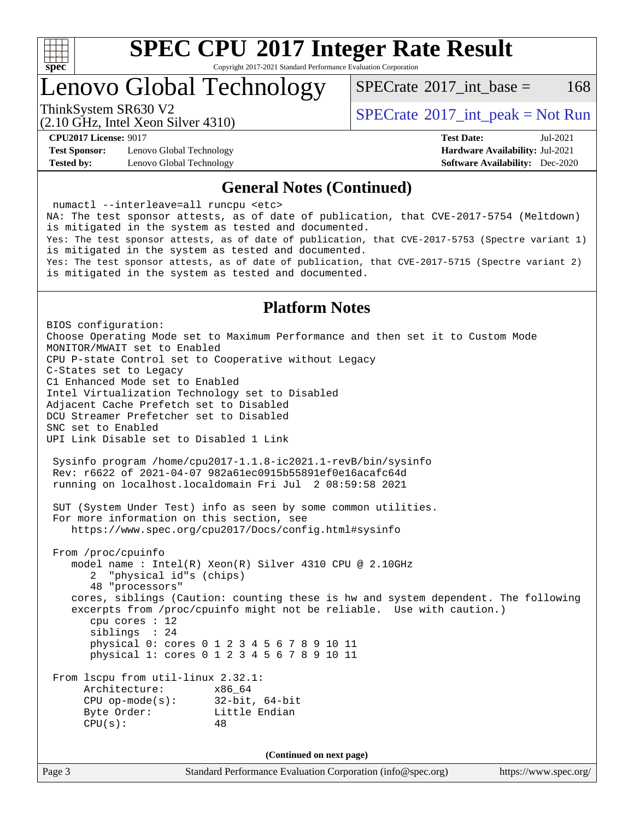

Copyright 2017-2021 Standard Performance Evaluation Corporation

Lenovo Global Technology

[SPECrate](http://www.spec.org/auto/cpu2017/Docs/result-fields.html#SPECrate2017intbase)<sup>®</sup>2017 int base = 168

(2.10 GHz, Intel Xeon Silver 4310)

ThinkSystem SR630 V2<br>  $\begin{array}{c} \text{SPECTate} \textcircled{2017\_int\_peak} = \text{Not Run} \end{array}$ 

**[Test Sponsor:](http://www.spec.org/auto/cpu2017/Docs/result-fields.html#TestSponsor)** Lenovo Global Technology **[Hardware Availability:](http://www.spec.org/auto/cpu2017/Docs/result-fields.html#HardwareAvailability)** Jul-2021 **[Tested by:](http://www.spec.org/auto/cpu2017/Docs/result-fields.html#Testedby)** Lenovo Global Technology **[Software Availability:](http://www.spec.org/auto/cpu2017/Docs/result-fields.html#SoftwareAvailability)** Dec-2020

**[CPU2017 License:](http://www.spec.org/auto/cpu2017/Docs/result-fields.html#CPU2017License)** 9017 **[Test Date:](http://www.spec.org/auto/cpu2017/Docs/result-fields.html#TestDate)** Jul-2021

#### **[General Notes \(Continued\)](http://www.spec.org/auto/cpu2017/Docs/result-fields.html#GeneralNotes)**

 numactl --interleave=all runcpu <etc> NA: The test sponsor attests, as of date of publication, that CVE-2017-5754 (Meltdown) is mitigated in the system as tested and documented. Yes: The test sponsor attests, as of date of publication, that CVE-2017-5753 (Spectre variant 1) is mitigated in the system as tested and documented. Yes: The test sponsor attests, as of date of publication, that CVE-2017-5715 (Spectre variant 2) is mitigated in the system as tested and documented.

### **[Platform Notes](http://www.spec.org/auto/cpu2017/Docs/result-fields.html#PlatformNotes)**

BIOS configuration: Choose Operating Mode set to Maximum Performance and then set it to Custom Mode MONITOR/MWAIT set to Enabled CPU P-state Control set to Cooperative without Legacy C-States set to Legacy C1 Enhanced Mode set to Enabled Intel Virtualization Technology set to Disabled Adjacent Cache Prefetch set to Disabled DCU Streamer Prefetcher set to Disabled SNC set to Enabled UPI Link Disable set to Disabled 1 Link Sysinfo program /home/cpu2017-1.1.8-ic2021.1-revB/bin/sysinfo Rev: r6622 of 2021-04-07 982a61ec0915b55891ef0e16acafc64d running on localhost.localdomain Fri Jul 2 08:59:58 2021 SUT (System Under Test) info as seen by some common utilities. For more information on this section, see <https://www.spec.org/cpu2017/Docs/config.html#sysinfo> From /proc/cpuinfo model name : Intel(R) Xeon(R) Silver 4310 CPU @ 2.10GHz 2 "physical id"s (chips) 48 "processors" cores, siblings (Caution: counting these is hw and system dependent. The following excerpts from /proc/cpuinfo might not be reliable. Use with caution.) cpu cores : 12 siblings : 24 physical 0: cores 0 1 2 3 4 5 6 7 8 9 10 11 physical 1: cores 0 1 2 3 4 5 6 7 8 9 10 11 From lscpu from util-linux 2.32.1: Architecture: x86\_64 CPU op-mode(s): 32-bit, 64-bit Byte Order: Little Endian  $CPU(s):$  48 **(Continued on next page)**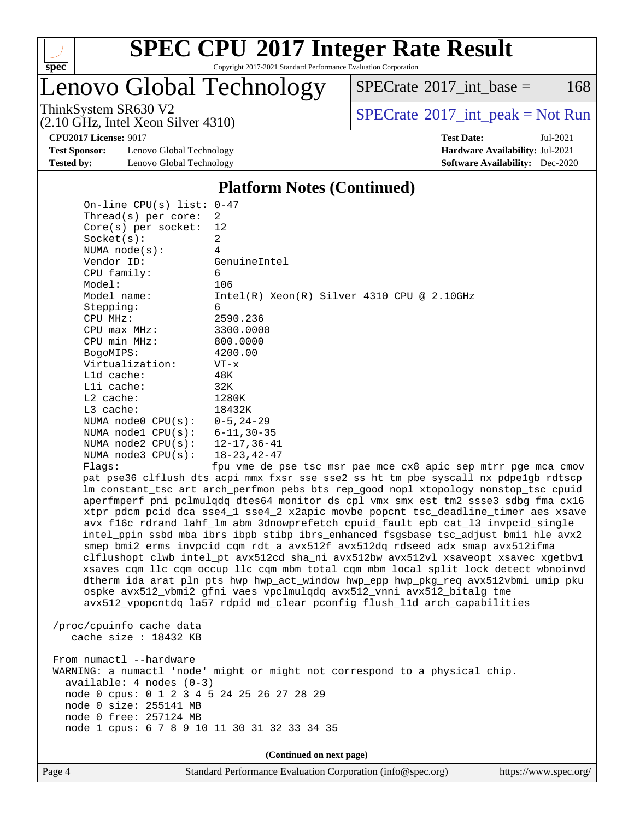

Copyright 2017-2021 Standard Performance Evaluation Corporation

Lenovo Global Technology

 $SPECTate$ <sup>®</sup>[2017\\_int\\_base =](http://www.spec.org/auto/cpu2017/Docs/result-fields.html#SPECrate2017intbase) 168

(2.10 GHz, Intel Xeon Silver 4310)

ThinkSystem SR630 V2<br>  $\begin{array}{c} \text{SPECTate} \textcircled{2017\_int\_peak} = \text{Not Run} \end{array}$ 

**[Test Sponsor:](http://www.spec.org/auto/cpu2017/Docs/result-fields.html#TestSponsor)** Lenovo Global Technology **[Hardware Availability:](http://www.spec.org/auto/cpu2017/Docs/result-fields.html#HardwareAvailability)** Jul-2021 **[Tested by:](http://www.spec.org/auto/cpu2017/Docs/result-fields.html#Testedby)** Lenovo Global Technology **[Software Availability:](http://www.spec.org/auto/cpu2017/Docs/result-fields.html#SoftwareAvailability)** Dec-2020

**[CPU2017 License:](http://www.spec.org/auto/cpu2017/Docs/result-fields.html#CPU2017License)** 9017 **[Test Date:](http://www.spec.org/auto/cpu2017/Docs/result-fields.html#TestDate)** Jul-2021

#### **[Platform Notes \(Continued\)](http://www.spec.org/auto/cpu2017/Docs/result-fields.html#PlatformNotes)**

Page 4 Standard Performance Evaluation Corporation [\(info@spec.org\)](mailto:info@spec.org) <https://www.spec.org/> On-line CPU(s) list: 0-47 Thread(s) per core: 2 Core(s) per socket: 12 Socket(s): 2 NUMA node(s): 4 Vendor ID: GenuineIntel CPU family: 6 Model: 106 Model name: Intel(R) Xeon(R) Silver 4310 CPU @ 2.10GHz Stepping: 6 CPU MHz: 2590.236 CPU max MHz: 3300.0000 CPU min MHz: 800.0000 BogoMIPS: 4200.00 Virtualization: VT-x L1d cache: 48K L1i cache: 32K L2 cache: 1280K L3 cache: 18432K NUMA node0 CPU(s): 0-5,24-29 NUMA node1 CPU(s): 6-11,30-35 NUMA node2 CPU(s): 12-17,36-41 NUMA node3 CPU(s): 18-23,42-47 Flags: fpu vme de pse tsc msr pae mce cx8 apic sep mtrr pge mca cmov pat pse36 clflush dts acpi mmx fxsr sse sse2 ss ht tm pbe syscall nx pdpe1gb rdtscp lm constant\_tsc art arch\_perfmon pebs bts rep\_good nopl xtopology nonstop\_tsc cpuid aperfmperf pni pclmulqdq dtes64 monitor ds\_cpl vmx smx est tm2 ssse3 sdbg fma cx16 xtpr pdcm pcid dca sse4\_1 sse4\_2 x2apic movbe popcnt tsc\_deadline\_timer aes xsave avx f16c rdrand lahf\_lm abm 3dnowprefetch cpuid\_fault epb cat\_l3 invpcid\_single intel\_ppin ssbd mba ibrs ibpb stibp ibrs\_enhanced fsgsbase tsc\_adjust bmi1 hle avx2 smep bmi2 erms invpcid cqm rdt\_a avx512f avx512dq rdseed adx smap avx512ifma clflushopt clwb intel\_pt avx512cd sha\_ni avx512bw avx512vl xsaveopt xsavec xgetbv1 xsaves cqm\_llc cqm\_occup\_llc cqm\_mbm\_total cqm\_mbm\_local split\_lock\_detect wbnoinvd dtherm ida arat pln pts hwp hwp\_act\_window hwp\_epp hwp\_pkg\_req avx512vbmi umip pku ospke avx512\_vbmi2 gfni vaes vpclmulqdq avx512\_vnni avx512\_bitalg tme avx512\_vpopcntdq la57 rdpid md\_clear pconfig flush\_l1d arch\_capabilities /proc/cpuinfo cache data cache size : 18432 KB From numactl --hardware WARNING: a numactl 'node' might or might not correspond to a physical chip. available: 4 nodes (0-3) node 0 cpus: 0 1 2 3 4 5 24 25 26 27 28 29 node 0 size: 255141 MB node 0 free: 257124 MB node 1 cpus: 6 7 8 9 10 11 30 31 32 33 34 35 **(Continued on next page)**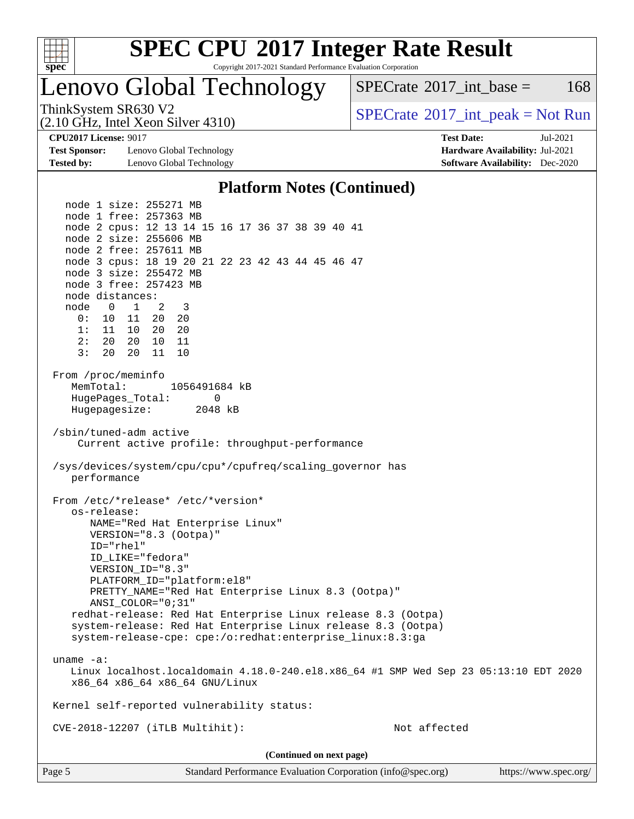

Copyright 2017-2021 Standard Performance Evaluation Corporation

### Lenovo Global Technology

 $SPECTate@2017\_int\_base = 168$ 

(2.10 GHz, Intel Xeon Silver 4310)

ThinkSystem SR630 V2<br>  $\begin{array}{c} \text{SPECTate} \textcircled{2017\_int\_peak} = \text{Not Run} \end{array}$ 

**[Test Sponsor:](http://www.spec.org/auto/cpu2017/Docs/result-fields.html#TestSponsor)** Lenovo Global Technology **[Hardware Availability:](http://www.spec.org/auto/cpu2017/Docs/result-fields.html#HardwareAvailability)** Jul-2021 **[Tested by:](http://www.spec.org/auto/cpu2017/Docs/result-fields.html#Testedby)** Lenovo Global Technology **[Software Availability:](http://www.spec.org/auto/cpu2017/Docs/result-fields.html#SoftwareAvailability)** Dec-2020

**[CPU2017 License:](http://www.spec.org/auto/cpu2017/Docs/result-fields.html#CPU2017License)** 9017 **[Test Date:](http://www.spec.org/auto/cpu2017/Docs/result-fields.html#TestDate)** Jul-2021

#### **[Platform Notes \(Continued\)](http://www.spec.org/auto/cpu2017/Docs/result-fields.html#PlatformNotes)**

 node 1 size: 255271 MB node 1 free: 257363 MB node 2 cpus: 12 13 14 15 16 17 36 37 38 39 40 41 node 2 size: 255606 MB node 2 free: 257611 MB node 3 cpus: 18 19 20 21 22 23 42 43 44 45 46 47 node 3 size: 255472 MB node 3 free: 257423 MB node distances: node 0 1 2 3 0: 10 11 20 20 1: 11 10 20 20 2: 20 20 10 11 3: 20 20 11 10 From /proc/meminfo MemTotal: 1056491684 kB HugePages\_Total: 0 Hugepagesize: 2048 kB /sbin/tuned-adm active Current active profile: throughput-performance /sys/devices/system/cpu/cpu\*/cpufreq/scaling\_governor has performance From /etc/\*release\* /etc/\*version\* os-release: NAME="Red Hat Enterprise Linux" VERSION="8.3 (Ootpa)" ID="rhel" ID\_LIKE="fedora" VERSION\_ID="8.3" PLATFORM\_ID="platform:el8" PRETTY\_NAME="Red Hat Enterprise Linux 8.3 (Ootpa)" ANSI\_COLOR="0;31" redhat-release: Red Hat Enterprise Linux release 8.3 (Ootpa) system-release: Red Hat Enterprise Linux release 8.3 (Ootpa) system-release-cpe: cpe:/o:redhat:enterprise\_linux:8.3:ga uname -a: Linux localhost.localdomain 4.18.0-240.el8.x86\_64 #1 SMP Wed Sep 23 05:13:10 EDT 2020 x86\_64 x86\_64 x86\_64 GNU/Linux Kernel self-reported vulnerability status: CVE-2018-12207 (iTLB Multihit): Not affected **(Continued on next page)**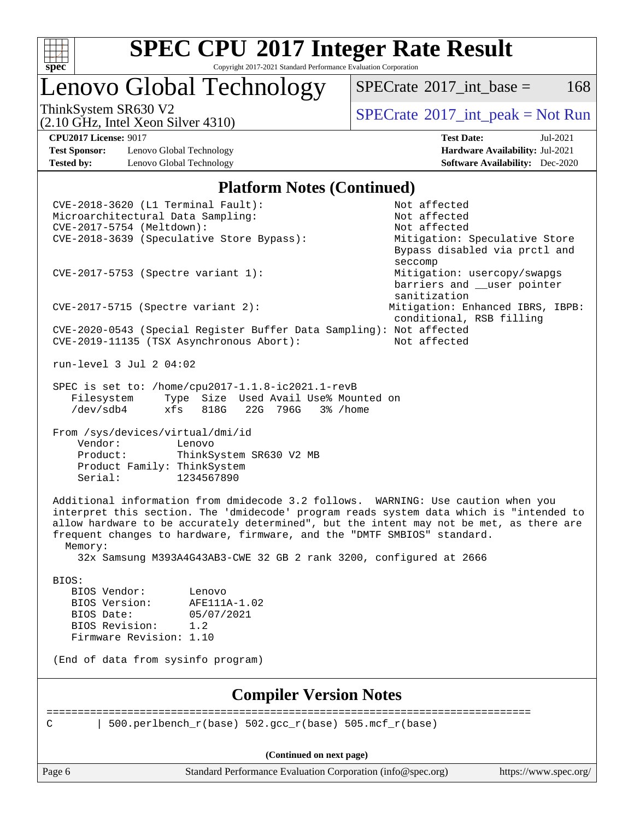

Copyright 2017-2021 Standard Performance Evaluation Corporation

Lenovo Global Technology

 $SPECTate$ <sup>®</sup>[2017\\_int\\_base =](http://www.spec.org/auto/cpu2017/Docs/result-fields.html#SPECrate2017intbase) 168

(2.10 GHz, Intel Xeon Silver 4310)

**[Test Sponsor:](http://www.spec.org/auto/cpu2017/Docs/result-fields.html#TestSponsor)** Lenovo Global Technology **[Hardware Availability:](http://www.spec.org/auto/cpu2017/Docs/result-fields.html#HardwareAvailability)** Jul-2021 **[Tested by:](http://www.spec.org/auto/cpu2017/Docs/result-fields.html#Testedby)** Lenovo Global Technology **[Software Availability:](http://www.spec.org/auto/cpu2017/Docs/result-fields.html#SoftwareAvailability)** Dec-2020

ThinkSystem SR630 V2<br>
(2.10 GHz, Intel Xeon Silver 4310) [SPECrate](http://www.spec.org/auto/cpu2017/Docs/result-fields.html#SPECrate2017intpeak)®[2017\\_int\\_peak = N](http://www.spec.org/auto/cpu2017/Docs/result-fields.html#SPECrate2017intpeak)ot Run

**[CPU2017 License:](http://www.spec.org/auto/cpu2017/Docs/result-fields.html#CPU2017License)** 9017 **[Test Date:](http://www.spec.org/auto/cpu2017/Docs/result-fields.html#TestDate)** Jul-2021

#### **[Platform Notes \(Continued\)](http://www.spec.org/auto/cpu2017/Docs/result-fields.html#PlatformNotes)**

| Memory:<br>BIOS:<br>BIOS Vendor:<br>BIOS Version:<br>BIOS Date:<br>BIOS Revision:<br>Firmware Revision: 1.10 | frequent changes to hardware, firmware, and the "DMTF SMBIOS" standard.<br>32x Samsung M393A4G43AB3-CWE 32 GB 2 rank 3200, configured at 2666<br>Lenovo<br>AFE111A-1.02<br>05/07/2021<br>1.2<br>(End of data from sysinfo program)<br><b>Compiler Version Notes</b><br>500.perlbench_r(base) 502.gcc_r(base) 505.mcf_r(base)<br>(Continued on next page) |                                                                                                                                                                             |  |
|--------------------------------------------------------------------------------------------------------------|----------------------------------------------------------------------------------------------------------------------------------------------------------------------------------------------------------------------------------------------------------------------------------------------------------------------------------------------------------|-----------------------------------------------------------------------------------------------------------------------------------------------------------------------------|--|
|                                                                                                              |                                                                                                                                                                                                                                                                                                                                                          |                                                                                                                                                                             |  |
|                                                                                                              |                                                                                                                                                                                                                                                                                                                                                          |                                                                                                                                                                             |  |
|                                                                                                              |                                                                                                                                                                                                                                                                                                                                                          |                                                                                                                                                                             |  |
|                                                                                                              |                                                                                                                                                                                                                                                                                                                                                          |                                                                                                                                                                             |  |
|                                                                                                              |                                                                                                                                                                                                                                                                                                                                                          |                                                                                                                                                                             |  |
|                                                                                                              |                                                                                                                                                                                                                                                                                                                                                          |                                                                                                                                                                             |  |
|                                                                                                              |                                                                                                                                                                                                                                                                                                                                                          |                                                                                                                                                                             |  |
|                                                                                                              |                                                                                                                                                                                                                                                                                                                                                          |                                                                                                                                                                             |  |
|                                                                                                              |                                                                                                                                                                                                                                                                                                                                                          |                                                                                                                                                                             |  |
|                                                                                                              |                                                                                                                                                                                                                                                                                                                                                          | allow hardware to be accurately determined", but the intent may not be met, as there are                                                                                    |  |
|                                                                                                              |                                                                                                                                                                                                                                                                                                                                                          | Additional information from dmidecode 3.2 follows. WARNING: Use caution when you<br>interpret this section. The 'dmidecode' program reads system data which is "intended to |  |
| Vendor:<br>Product:<br>Serial:                                                                               | Lenovo<br>ThinkSystem SR630 V2 MB<br>Product Family: ThinkSystem<br>1234567890                                                                                                                                                                                                                                                                           |                                                                                                                                                                             |  |
| From /sys/devices/virtual/dmi/id                                                                             |                                                                                                                                                                                                                                                                                                                                                          |                                                                                                                                                                             |  |
| Filesystem<br>/dev/sdb4                                                                                      | SPEC is set to: /home/cpu2017-1.1.8-ic2021.1-revB<br>Type Size Used Avail Use% Mounted on<br>$xfs$ 818G<br>22G 796G<br>3% /home                                                                                                                                                                                                                          |                                                                                                                                                                             |  |
| run-level 3 Jul 2 04:02                                                                                      |                                                                                                                                                                                                                                                                                                                                                          |                                                                                                                                                                             |  |
|                                                                                                              | CVE-2020-0543 (Special Register Buffer Data Sampling): Not affected<br>CVE-2019-11135 (TSX Asynchronous Abort):                                                                                                                                                                                                                                          | Not affected                                                                                                                                                                |  |
|                                                                                                              | $CVE-2017-5715$ (Spectre variant 2):                                                                                                                                                                                                                                                                                                                     | sanitization<br>Mitigation: Enhanced IBRS, IBPB:<br>conditional, RSB filling                                                                                                |  |
|                                                                                                              | CVE-2017-5753 (Spectre variant 1):                                                                                                                                                                                                                                                                                                                       | seccomp<br>Mitigation: usercopy/swapgs<br>barriers and __user pointer                                                                                                       |  |
|                                                                                                              |                                                                                                                                                                                                                                                                                                                                                          | Mitigation: Speculative Store<br>Bypass disabled via prctl and                                                                                                              |  |
|                                                                                                              |                                                                                                                                                                                                                                                                                                                                                          |                                                                                                                                                                             |  |
| CVE-2017-5754 (Meltdown):<br>CVE-2018-3639 (Speculative Store Bypass):                                       |                                                                                                                                                                                                                                                                                                                                                          | Not affected                                                                                                                                                                |  |
|                                                                                                              | Microarchitectural Data Sampling:                                                                                                                                                                                                                                                                                                                        | Not affected                                                                                                                                                                |  |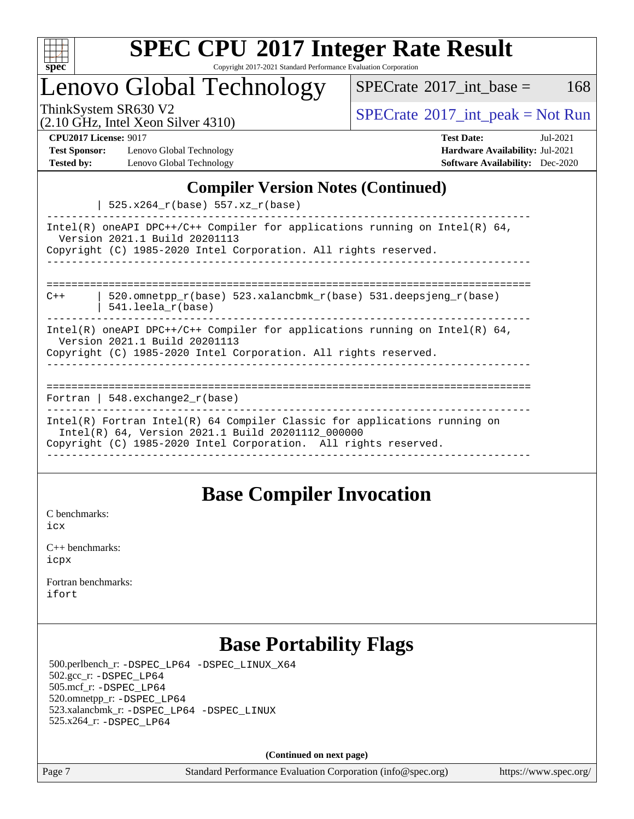

Copyright 2017-2021 Standard Performance Evaluation Corporation

### Lenovo Global Technology

ThinkSystem SR630 V2<br>  $\begin{array}{c}\n\text{SPECTate} \textcircled{2017\_int\_peak} = \text{Not Run} \\
\text{SPECTate} \textcircled{2017\_int\_peak} = \text{Not Run} \\
\end{array}$  $SPECTate$ <sup>®</sup>[2017\\_int\\_base =](http://www.spec.org/auto/cpu2017/Docs/result-fields.html#SPECrate2017intbase) 168

(2.10 GHz, Intel Xeon Silver 4310)

**[Test Sponsor:](http://www.spec.org/auto/cpu2017/Docs/result-fields.html#TestSponsor)** Lenovo Global Technology **[Hardware Availability:](http://www.spec.org/auto/cpu2017/Docs/result-fields.html#HardwareAvailability)** Jul-2021 **[Tested by:](http://www.spec.org/auto/cpu2017/Docs/result-fields.html#Testedby)** Lenovo Global Technology **[Software Availability:](http://www.spec.org/auto/cpu2017/Docs/result-fields.html#SoftwareAvailability)** Dec-2020

**[CPU2017 License:](http://www.spec.org/auto/cpu2017/Docs/result-fields.html#CPU2017License)** 9017 **[Test Date:](http://www.spec.org/auto/cpu2017/Docs/result-fields.html#TestDate)** Jul-2021

### **[Compiler Version Notes \(Continued\)](http://www.spec.org/auto/cpu2017/Docs/result-fields.html#CompilerVersionNotes)**

 $| 525.x264 r(hase) 557 x7 r(hase)$ 

|       | TAJ.AZUI I (DASE / JJ /.AZ I (DASE /                                                                                                                                                                |
|-------|-----------------------------------------------------------------------------------------------------------------------------------------------------------------------------------------------------|
|       | Intel(R) oneAPI DPC++/C++ Compiler for applications running on Intel(R) $64$ ,<br>Version 2021.1 Build 20201113<br>Copyright (C) 1985-2020 Intel Corporation. All rights reserved.                  |
|       |                                                                                                                                                                                                     |
| $C++$ | 520.omnetpp $r(base)$ 523.xalancbmk $r(base)$ 531.deepsjeng $r(base)$<br>541.leela_r(base)                                                                                                          |
|       | Intel(R) oneAPI DPC++/C++ Compiler for applications running on Intel(R) $64$ ,<br>Version 2021.1 Build 20201113<br>Copyright (C) 1985-2020 Intel Corporation. All rights reserved.                  |
|       |                                                                                                                                                                                                     |
|       | Fortran   548.exchange2 $r(base)$                                                                                                                                                                   |
|       | $Intel(R)$ Fortran Intel(R) 64 Compiler Classic for applications running on<br>Intel(R) 64, Version 2021.1 Build 20201112 000000<br>Copyright (C) 1985-2020 Intel Corporation. All rights reserved. |
|       |                                                                                                                                                                                                     |

### **[Base Compiler Invocation](http://www.spec.org/auto/cpu2017/Docs/result-fields.html#BaseCompilerInvocation)**

[C benchmarks](http://www.spec.org/auto/cpu2017/Docs/result-fields.html#Cbenchmarks): [icx](http://www.spec.org/cpu2017/results/res2021q3/cpu2017-20210705-28035.flags.html#user_CCbase_intel_icx_fe2d28d19ae2a5db7c42fe0f2a2aed77cb715edd4aeb23434404a8be6683fe239869bb6ca8154ca98265c2e3b9226a719a0efe2953a4a7018c379b7010ccf087)

[C++ benchmarks:](http://www.spec.org/auto/cpu2017/Docs/result-fields.html#CXXbenchmarks) [icpx](http://www.spec.org/cpu2017/results/res2021q3/cpu2017-20210705-28035.flags.html#user_CXXbase_intel_icpx_1e918ed14c436bf4b9b7c8bcdd51d4539fc71b3df010bd1e9f8732d9c34c2b2914e48204a846820f3c0ebb4095dea797a5c30b458ac0b6dffac65d78f781f5ca)

[Fortran benchmarks](http://www.spec.org/auto/cpu2017/Docs/result-fields.html#Fortranbenchmarks): [ifort](http://www.spec.org/cpu2017/results/res2021q3/cpu2017-20210705-28035.flags.html#user_FCbase_intel_ifort_8111460550e3ca792625aed983ce982f94888b8b503583aa7ba2b8303487b4d8a21a13e7191a45c5fd58ff318f48f9492884d4413fa793fd88dd292cad7027ca)

### **[Base Portability Flags](http://www.spec.org/auto/cpu2017/Docs/result-fields.html#BasePortabilityFlags)**

 500.perlbench\_r: [-DSPEC\\_LP64](http://www.spec.org/cpu2017/results/res2021q3/cpu2017-20210705-28035.flags.html#b500.perlbench_r_basePORTABILITY_DSPEC_LP64) [-DSPEC\\_LINUX\\_X64](http://www.spec.org/cpu2017/results/res2021q3/cpu2017-20210705-28035.flags.html#b500.perlbench_r_baseCPORTABILITY_DSPEC_LINUX_X64) 502.gcc\_r: [-DSPEC\\_LP64](http://www.spec.org/cpu2017/results/res2021q3/cpu2017-20210705-28035.flags.html#suite_basePORTABILITY502_gcc_r_DSPEC_LP64) 505.mcf\_r: [-DSPEC\\_LP64](http://www.spec.org/cpu2017/results/res2021q3/cpu2017-20210705-28035.flags.html#suite_basePORTABILITY505_mcf_r_DSPEC_LP64) 520.omnetpp\_r: [-DSPEC\\_LP64](http://www.spec.org/cpu2017/results/res2021q3/cpu2017-20210705-28035.flags.html#suite_basePORTABILITY520_omnetpp_r_DSPEC_LP64) 523.xalancbmk\_r: [-DSPEC\\_LP64](http://www.spec.org/cpu2017/results/res2021q3/cpu2017-20210705-28035.flags.html#suite_basePORTABILITY523_xalancbmk_r_DSPEC_LP64) [-DSPEC\\_LINUX](http://www.spec.org/cpu2017/results/res2021q3/cpu2017-20210705-28035.flags.html#b523.xalancbmk_r_baseCXXPORTABILITY_DSPEC_LINUX) 525.x264\_r: [-DSPEC\\_LP64](http://www.spec.org/cpu2017/results/res2021q3/cpu2017-20210705-28035.flags.html#suite_basePORTABILITY525_x264_r_DSPEC_LP64)

**(Continued on next page)**

Page 7 Standard Performance Evaluation Corporation [\(info@spec.org\)](mailto:info@spec.org) <https://www.spec.org/>